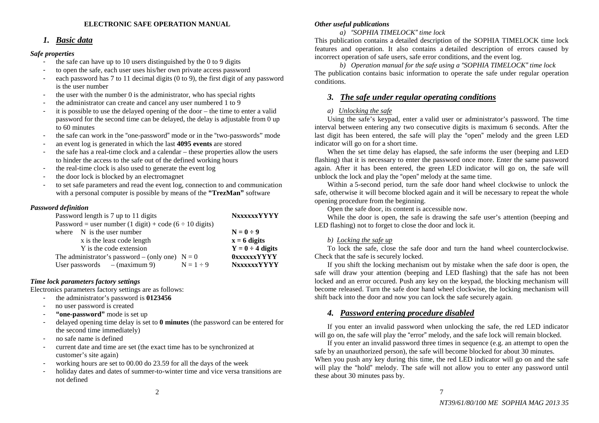## **ELECTRONIC SAFE OPERATION MANUAL**

# *1. Basic data*

## *Safe properties*

- the safe can have up to 10 users distinguished by the  $0$  to  $9$  digits
- to open the safe, each user uses his/her own private access password
- each password has 7 to 11 decimal digits (0 to 9), the first digit of any password is the user number
- the user with the number 0 is the administrator, who has special rights
- the administrator can create and cancel any user numbered 1 to 9
- it is possible to use the delayed opening of the door the time to enter a valid password for the second time can be delayed, the delay is adjustable from 0 up to 60 minutes
- the safe can work in the "one-password" mode or in the "two-passwords" mode
- an event log is generated in which the last **4095 events** are stored
- the safe has a real-time clock and a calendar these properties allow the users to hinder the access to the safe out of the defined working hours
- the real-time clock is also used to generate the event log
- the door lock is blocked by an electromagnet
- to set safe parameters and read the event log, connection to and communication with a personal computer is possible by means of the **"TrezMan"** software

## *Password definition*

| Password length is 7 up to 11 digits                                                  |  |                                |             | <b>NXXXXXYYYYY</b>    |  |
|---------------------------------------------------------------------------------------|--|--------------------------------|-------------|-----------------------|--|
| Password = user number $(1 \text{ digit}) + \text{code}$ $(6 \div 10 \text{ digits})$ |  |                                |             |                       |  |
|                                                                                       |  | where $N$ is the user number   |             | $N=0-9$               |  |
| x is the least code length                                                            |  |                                |             | $x = 6$ digits        |  |
| Y is the code extension                                                               |  |                                |             | $Y = 0 \div 4$ digits |  |
| The administrator's password – (only one) $N = 0$                                     |  |                                |             | <b>OXXXXXYYYYY</b>    |  |
|                                                                                       |  | User passwords $-$ (maximum 9) | $N=1\div 9$ | <b>NXXXXXYYYYY</b>    |  |
|                                                                                       |  |                                |             |                       |  |

# *Time lock parameters factory settings*

Electronics parameters factory settings are as follows:

- the administrator's password is **0123456**
- no user password is created
- **"one-password"** mode is set up
- delayed opening time delay is set to **0 minutes** (the password can be entered for the second time immediately)
- no safe name is defined
- current date and time are set (the exact time has to be synchronized at customer's site again)
- working hours are set to 00.00 do 23.59 for all the days of the week
- holiday dates and dates of summer-to-winter time and vice versa transitions are not defined

## *Other useful publications*

# *a)* "*SOPHIA TIMELOCK*" *time lock*

This publication contains a detailed description of the SOPHIA TIMELOCK time lock features and operation. It also contains a detailed description of errors caused by incorrect operation of safe users, safe error conditions, and the event log.

*b) Operation manual for the safe using a* "*SOPHIA TIMELOCK*" *time lock*  The publication contains basic information to operate the safe under regular operation conditions.

# *3. The safe under regular operating conditions*

## *a) Unlocking the safe*

 Using the safe's keypad, enter a valid user or administrator's password. The time interval between entering any two consecutive digits is maximum 6 seconds. After the last digit has been entered, the safe will play the "open" melody and the green LED indicator will go on for a short time.

 When the set time delay has elapsed, the safe informs the user (beeping and LED flashing) that it is necessary to enter the password once more. Enter the same password again. After it has been entered, the green LED indicator will go on, the safe will unblock the lock and play the "open" melody at the same time.

 Within a 5-second period, turn the safe door hand wheel clockwise to unlock the safe, otherwise it will become blocked again and it will be necessary to repeat the whole opening procedure from the beginning.

Open the safe door, its content is accessible now.

 While the door is open, the safe is drawing the safe user's attention (beeping and LED flashing) not to forget to close the door and lock it.

## *b) Locking the safe up*

 To lock the safe, close the safe door and turn the hand wheel counterclockwise. Check that the safe is securely locked.

 If you shift the locking mechanism out by mistake when the safe door is open, the safe will draw your attention (beeping and LED flashing) that the safe has not been locked and an error occured. Push any key on the keypad, the blocking mechanism will become released. Turn the safe door hand wheel clockwise, the locking mechanism will shift back into the door and now you can lock the safe securely again.

# *4. Password entering procedure disabled*

If you enter an invalid password when unlocking the safe, the red LED indicator will go on, the safe will play the "error" melody, and the safe lock will remain blocked.

If you enter an invalid password three times in sequence (e.g. an attempt to open the safe by an unauthorized person), the safe will become blocked for about 30 minutes. When you push any key during this time, the red LED indicator will go on and the safe will play the "hold" melody. The safe will not allow you to enter any password until these about 30 minutes pass by.

7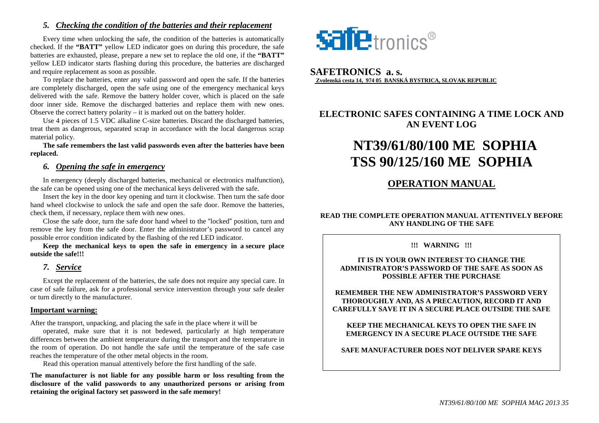# *5. Checking the condition of the batteries and their replacement*

Every time when unlocking the safe, the condition of the batteries is automatically checked. If the **"BATT"** yellow LED indicator goes on during this procedure, the safe batteries are exhausted, please, prepare a new set to replace the old one, if the **"BATT"** yellow LED indicator starts flashing during this procedure, the batteries are discharged and require replacement as soon as possible.

 To replace the batteries, enter any valid password and open the safe. If the batteries are completely discharged, open the safe using one of the emergency mechanical keys delivered with the safe. Remove the battery holder cover, which is placed on the safe door inner side. Remove the discharged batteries and replace them with new ones. Observe the correct battery polarity – it is marked out on the battery holder.

 Use 4 pieces of 1.5 VDC alkaline C-size batteries. Discard the discharged batteries, treat them as dangerous, separated scrap in accordance with the local dangerous scrap material policy.

 **The safe remembers the last valid passwords even after the batteries have been replaced.**

# *6. Opening the safe in emergency*

In emergency (deeply discharged batteries, mechanical or electronics malfunction), the safe can be opened using one of the mechanical keys delivered with the safe.

 Insert the key in the door key opening and turn it clockwise. Then turn the safe door hand wheel clockwise to unlock the safe and open the safe door. Remove the batteries, check them, if necessary, replace them with new ones.

 Close the safe door, turn the safe door hand wheel to the "locked" position, turn and remove the key from the safe door. Enter the administrator's password to cancel any possible error condition indicated by the flashing of the red LED indicator.

 **Keep the mechanical keys to open the safe in emergency in a secure place outside the safe!!!** 

# *7. Service*

Except the replacement of the batteries, the safe does not require any special care. In case of safe failure, ask for a professional service intervention through your safe dealer or turn directly to the manufacturer.

## **Important warning:**

After the transport, unpacking, and placing the safe in the place where it will be

 operated, make sure that it is not bedewed, particularly at high temperature differences between the ambient temperature during the transport and the temperature in the room of operation. Do not handle the safe until the temperature of the safe case reaches the temperature of the other metal objects in the room.

Read this operation manual attentively before the first handling of the safe.

**The manufacturer is not liable for any possible harm or loss resulting from the disclosure of the valid passwords to any unauthorized persons or arising from retaining the original factory set password in the safe memory!**



# **SAFETRONICS a. s. Zvolenská cesta 14, 974 05 BANSKÁ BYSTRICA, SLOVAK REPUBLIC**

# **ELECTRONIC SAFES CONTAINING A TIME LOCK AND AN EVENT LOG**

# **NT39/61/80/100 ME SOPHIA TSS 90/125/160 ME SOPHIA**

# **OPERATION MANUAL**

# **READ THE COMPLETE OPERATION MANUAL ATTENTIVELY BEFORE ANY HANDLING OF THE SAFE**

**!!! WARNING !!!** 

## **IT IS IN YOUR OWN INTEREST TO CHANGE THE ADMINISTRATOR'S PASSWORD OF THE SAFE AS SOON AS POSSIBLE AFTER THE PURCHASE**

**REMEMBER THE NEW ADMINISTRATOR'S PASSWORD VERY THOROUGHLY AND, AS A PRECAUTION, RECORD IT AND CAREFULLY SAVE IT IN A SECURE PLACE OUTSIDE THE SAFE** 

**KEEP THE MECHANICAL KEYS TO OPEN THE SAFE IN EMERGENCY IN A SECURE PLACE OUTSIDE THE SAFE** 

**SAFE MANUFACTURER DOES NOT DELIVER SPARE KEYS**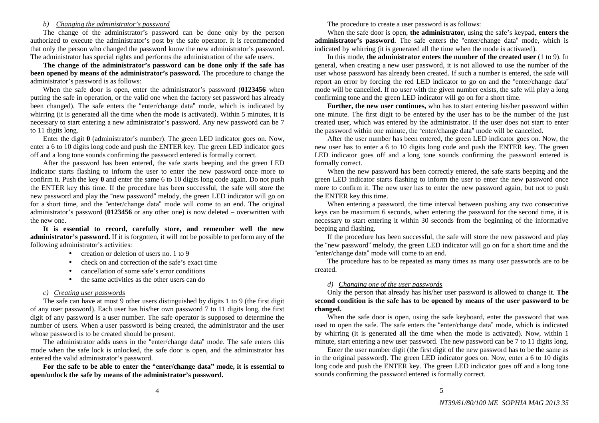#### *b) Changing the administrator's password*

 The change of the administrator's password can be done only by the person authorized to execute the administrator's post by the safe operator. It is recommended that only the person who changed the password know the new administrator's password. The administrator has special rights and performs the administration of the safe users.

**The change of the administrator's password can be done only if the safe has been opened by means of the administrator's password.** The procedure to change the administrator's password is as follows:

When the safe door is open, enter the administrator's password (**0123456** when putting the safe in operation, or the valid one when the factory set password has already been changed). The safe enters the "enter/change data" mode, which is indicated by whirring (it is generated all the time when the mode is activated). Within 5 minutes, it is necessary to start entering a new administrator's password. Any new password can be 7 to 11 digits long.

Enter the digit **0** (administrator's number). The green LED indicator goes on. Now, enter a 6 to 10 digits long code and push the ENTER key. The green LED indicator goes off and a long tone sounds confirming the password entered is formally correct.

 After the password has been entered, the safe starts beeping and the green LED indicator starts flashing to inform the user to enter the new password once more to confirm it. Push the key **0** and enter the same 6 to 10 digits long code again. Do not push the ENTER key this time. If the procedure has been successful, the safe will store the new password and play the "new password" melody, the green LED indicator will go on for a short time, and the "enter/change data" mode will come to an end. The original administrator's password (**0123456** or any other one) is now deleted – overwritten with the new one.

**It is essential to record, carefully store, and remember well the new administrator's password.** If it is forgotten, it will not be possible to perform any of the following administrator's activities:

- creation or deletion of users no. 1 to 9
- •check on and correction of the safe's exact time
- •cancellation of some safe's error conditions
- •the same activities as the other users can do

#### *c) Creating user passwords*

 The safe can have at most 9 other users distinguished by digits 1 to 9 (the first digit of any user password). Each user has his/her own password 7 to 11 digits long, the first digit of any password is a user number. The safe operator is supposed to determine the number of users. When a user password is being created, the administrator and the user whose password is to be created should be present.

 The administrator adds users in the "enter/change data" mode. The safe enters this mode when the safe lock is unlocked, the safe door is open, and the administrator has entered the valid administrator's password.

**For the safe to be able to enter the "enter/change data" mode, it is essential to open/unlock the safe by means of the administrator's password.** 

The procedure to create a user password is as follows:

 When the safe door is open, **the administrator,** using the safe's keypad, **enters the administrator's password**. The safe enters the "enter/change data" mode, which is indicated by whirring (it is generated all the time when the mode is activated).

 In this mode, **the administrator enters the number of the created user** (1 to 9). In general, when creating a new user password, it is not allowed to use the number of the user whose password has already been created. If such a number is entered, the safe will report an error by forcing the red LED indicator to go on and the "enter/change data" mode will be cancelled. If no user with the given number exists, the safe will play a long confirming tone and the green LED indicator will go on for a short time.

 **Further, the new user continues,** who has to start entering his/her password within one minute. The first digit to be entered by the user has to be the number of the just created user, which was entered by the administrator. If the user does not start to enter the password within one minute, the "enter/change data" mode will be cancelled.

 After the user number has been entered, the green LED indicator goes on. Now, the new user has to enter a 6 to 10 digits long code and push the ENTER key. The green LED indicator goes off and a long tone sounds confirming the password entered is formally correct.

 When the new password has been correctly entered, the safe starts beeping and the green LED indicator starts flashing to inform the user to enter the new password once more to confirm it. The new user has to enter the new password again, but not to push the ENTER key this time.

When entering a password, the time interval between pushing any two consecutive keys can be maximum 6 seconds, when entering the password for the second time, it is necessary to start entering it within 30 seconds from the beginning of the informative beeping and flashing.

 If the procedure has been successful, the safe will store the new password and play the "new password" melody, the green LED indicator will go on for a short time and the "enter/change data" mode will come to an end.

 The procedure has to be repeated as many times as many user passwords are to be created.

#### *d) Changing one of the user passwords*

 Only the person that already has his/her user password is allowed to change it. **The second condition is the safe has to be opened by means of the user password to be changed.**

 When the safe door is open, using the safe keyboard, enter the password that was used to open the safe. The safe enters the "enter/change data" mode, which is indicated by whirring (it is generated all the time when the mode is activated). Now, within 1 minute, start entering a new user password. The new password can be 7 to 11 digits long.

Enter the user number digit (the first digit of the new password has to be the same as in the original password). The green LED indicator goes on. Now, enter a 6 to 10 digits long code and push the ENTER key. The green LED indicator goes off and a long tone sounds confirming the password entered is formally correct.